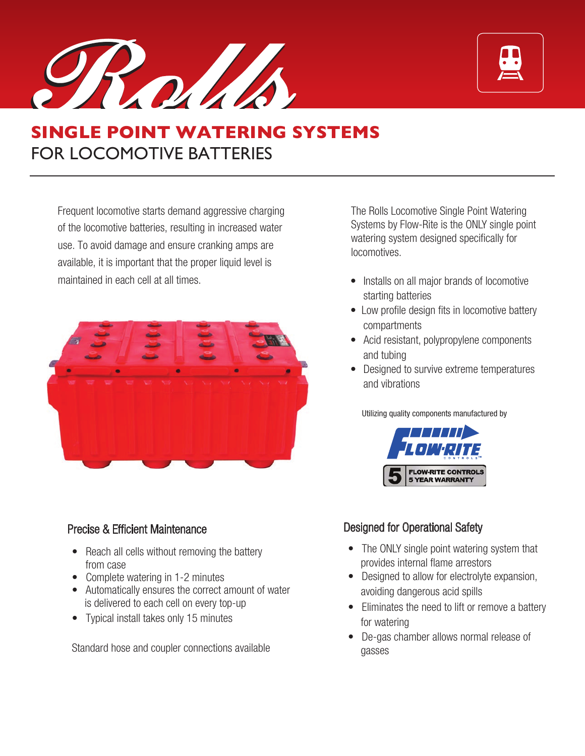ROUN



# **SINGLE POINT WATERING SYSTEMS** FOR LOCOMOTIVE BATTERIES

Frequent locomotive starts demand aggressive charging of the locomotive batteries, resulting in increased water use. To avoid damage and ensure cranking amps are available, it is important that the proper liquid level is maintained in each cell at all times



## Precise & Efficient Maintenance

- Reach all cells without removing the battery from case
- Complete watering in 1-2 minutes
- Automatically ensures the correct amount of water is delivered to each cell on every top-up
- Typical install takes only 15 minutes

Standard hose and coupler connections available

The Rolls Locomotive Single Point Watering Systems by Flow-Rite is the ONLY single point watering system designed specifically for locomotives.

- Installs on all major brands of locomotive starting batteries
- Low profile design fits in locomotive battery compartments
- Acid resistant, polypropylene components and tubing
- Designed to survive extreme temperatures and vibrations

Utilizing quality components manufactured by



## Designed for Operational Safety

- The ONLY single point watering system that provides internal flame arrestors
- Designed to allow for electrolyte expansion, avoiding dangerous acid spills
- Eliminates the need to lift or remove a battery for watering
- De-gas chamber allows normal release of gasses